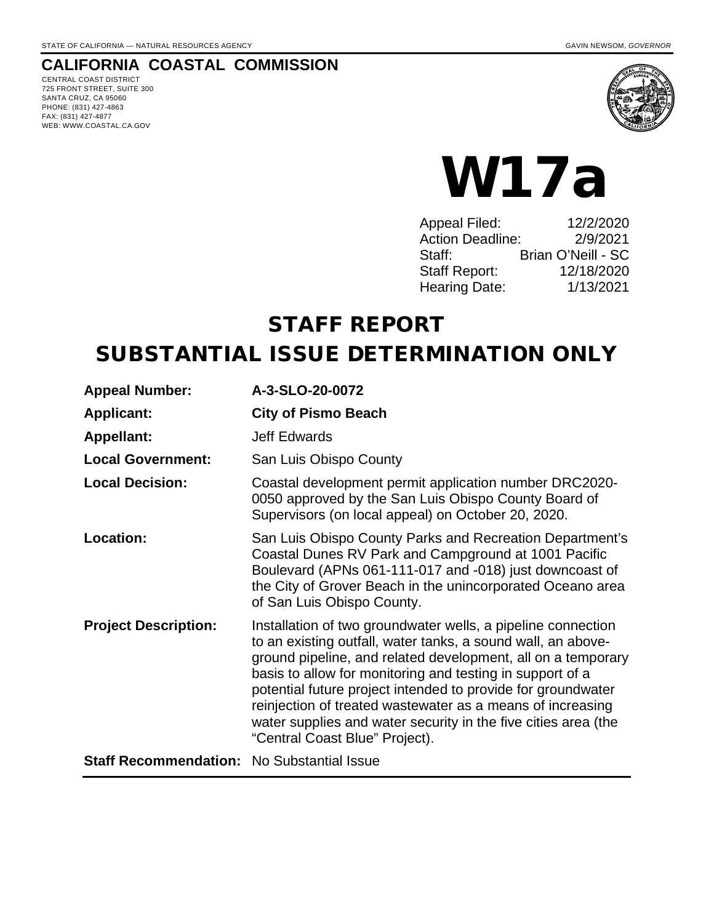# **CALIFORNIA COASTAL COMMISSION**

CENTRAL COAST DISTRICT 725 FRONT STREET, SUITE 300 SANTA CRUZ, CA 95060 PHONE: (831) 427-4863 FAX: (831) 427-4877 WEB: WWW.COASTAL.CA.GOV



# W17a

| <b>Appeal Filed:</b>    | 12/2/2020          |
|-------------------------|--------------------|
| <b>Action Deadline:</b> | 2/9/2021           |
| Staff:                  | Brian O'Neill - SC |
| <b>Staff Report:</b>    | 12/18/2020         |
| <b>Hearing Date:</b>    | 1/13/2021          |
|                         |                    |

# STAFF REPORT

# SUBSTANTIAL ISSUE DETERMINATION ONLY

| <b>Appeal Number:</b>                             | A-3-SLO-20-0072                                                                                                                                                                                                                                                                                                                                                                                                                                                                             |
|---------------------------------------------------|---------------------------------------------------------------------------------------------------------------------------------------------------------------------------------------------------------------------------------------------------------------------------------------------------------------------------------------------------------------------------------------------------------------------------------------------------------------------------------------------|
| <b>Applicant:</b>                                 | <b>City of Pismo Beach</b>                                                                                                                                                                                                                                                                                                                                                                                                                                                                  |
| <b>Appellant:</b>                                 | <b>Jeff Edwards</b>                                                                                                                                                                                                                                                                                                                                                                                                                                                                         |
| <b>Local Government:</b>                          | San Luis Obispo County                                                                                                                                                                                                                                                                                                                                                                                                                                                                      |
| <b>Local Decision:</b>                            | Coastal development permit application number DRC2020-<br>0050 approved by the San Luis Obispo County Board of<br>Supervisors (on local appeal) on October 20, 2020.                                                                                                                                                                                                                                                                                                                        |
| Location:                                         | San Luis Obispo County Parks and Recreation Department's<br>Coastal Dunes RV Park and Campground at 1001 Pacific<br>Boulevard (APNs 061-111-017 and -018) just downcoast of<br>the City of Grover Beach in the unincorporated Oceano area<br>of San Luis Obispo County.                                                                                                                                                                                                                     |
| <b>Project Description:</b>                       | Installation of two groundwater wells, a pipeline connection<br>to an existing outfall, water tanks, a sound wall, an above-<br>ground pipeline, and related development, all on a temporary<br>basis to allow for monitoring and testing in support of a<br>potential future project intended to provide for groundwater<br>reinjection of treated wastewater as a means of increasing<br>water supplies and water security in the five cities area (the<br>"Central Coast Blue" Project). |
| <b>Staff Recommendation: No Substantial Issue</b> |                                                                                                                                                                                                                                                                                                                                                                                                                                                                                             |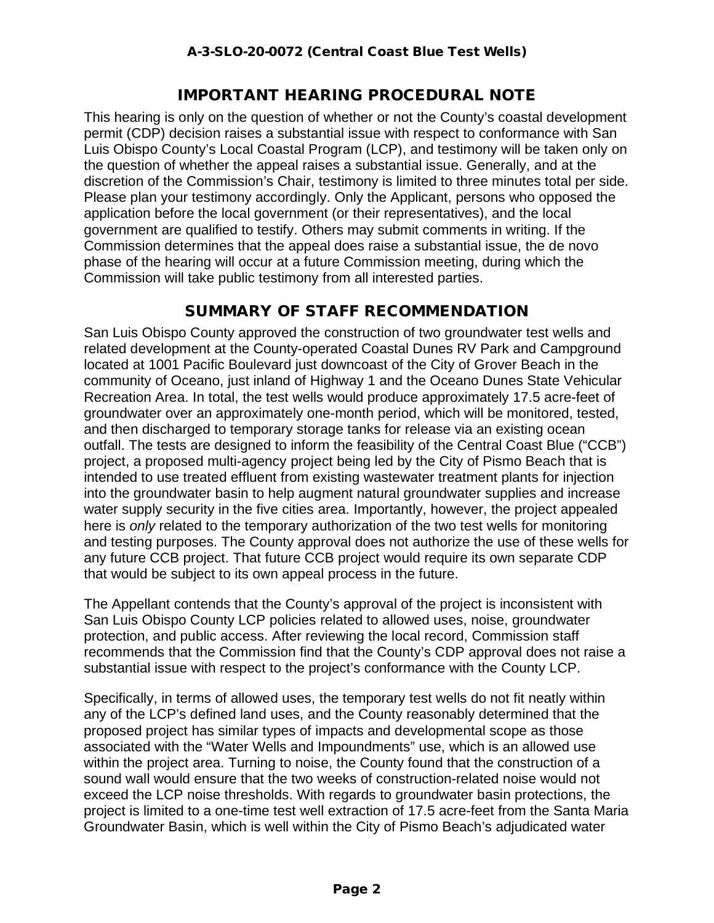# IMPORTANT HEARING PROCEDURAL NOTE

This hearing is only on the question of whether or not the County's coastal development permit (CDP) decision raises a substantial issue with respect to conformance with San Luis Obispo County's Local Coastal Program (LCP), and testimony will be taken only on the question of whether the appeal raises a substantial issue. Generally, and at the discretion of the Commission's Chair, testimony is limited to three minutes total per side. Please plan your testimony accordingly. Only the Applicant, persons who opposed the application before the local government (or their representatives), and the local government are qualified to testify. Others may submit comments in writing. If the Commission determines that the appeal does raise a substantial issue, the de novo phase of the hearing will occur at a future Commission meeting, during which the Commission will take public testimony from all interested parties.

## SUMMARY OF STAFF RECOMMENDATION

San Luis Obispo County approved the construction of two groundwater test wells and related development at the County-operated Coastal Dunes RV Park and Campground located at 1001 Pacific Boulevard just downcoast of the City of Grover Beach in the community of Oceano, just inland of Highway 1 and the Oceano Dunes State Vehicular Recreation Area. In total, the test wells would produce approximately 17.5 acre-feet of groundwater over an approximately one-month period, which will be monitored, tested, and then discharged to temporary storage tanks for release via an existing ocean outfall. The tests are designed to inform the feasibility of the Central Coast Blue ("CCB") project, a proposed multi-agency project being led by the City of Pismo Beach that is intended to use treated effluent from existing wastewater treatment plants for injection into the groundwater basin to help augment natural groundwater supplies and increase water supply security in the five cities area. Importantly, however, the project appealed here is *only* related to the temporary authorization of the two test wells for monitoring and testing purposes. The County approval does not authorize the use of these wells for any future CCB project. That future CCB project would require its own separate CDP that would be subject to its own appeal process in the future.

The Appellant contends that the County's approval of the project is inconsistent with San Luis Obispo County LCP policies related to allowed uses, noise, groundwater protection, and public access. After reviewing the local record, Commission staff recommends that the Commission find that the County's CDP approval does not raise a substantial issue with respect to the project's conformance with the County LCP.

Specifically, in terms of allowed uses, the temporary test wells do not fit neatly within any of the LCP's defined land uses, and the County reasonably determined that the proposed project has similar types of impacts and developmental scope as those associated with the "Water Wells and Impoundments" use, which is an allowed use within the project area. Turning to noise, the County found that the construction of a sound wall would ensure that the two weeks of construction-related noise would not exceed the LCP noise thresholds. With regards to groundwater basin protections, the project is limited to a one-time test well extraction of 17.5 acre-feet from the Santa Maria Groundwater Basin, which is well within the City of Pismo Beach's adjudicated water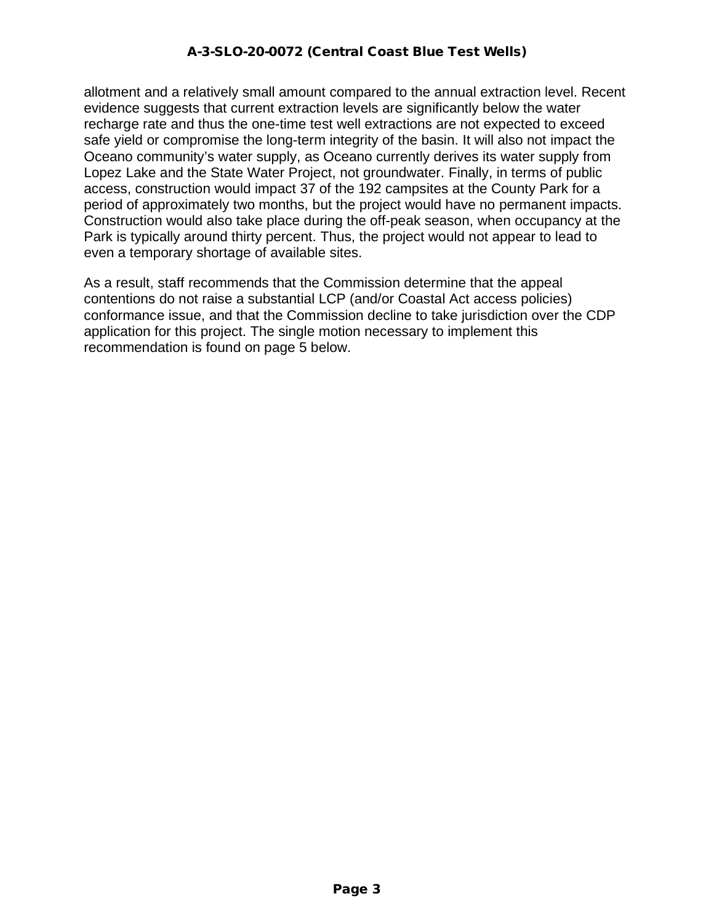allotment and a relatively small amount compared to the annual extraction level. Recent evidence suggests that current extraction levels are significantly below the water recharge rate and thus the one-time test well extractions are not expected to exceed safe yield or compromise the long-term integrity of the basin. It will also not impact the Oceano community's water supply, as Oceano currently derives its water supply from Lopez Lake and the State Water Project, not groundwater. Finally, in terms of public access, construction would impact 37 of the 192 campsites at the County Park for a period of approximately two months, but the project would have no permanent impacts. Construction would also take place during the off-peak season, when occupancy at the Park is typically around thirty percent. Thus, the project would not appear to lead to even a temporary shortage of available sites.

As a result, staff recommends that the Commission determine that the appeal contentions do not raise a substantial LCP (and/or Coastal Act access policies) conformance issue, and that the Commission decline to take jurisdiction over the CDP application for this project. The single motion necessary to implement this recommendation is found on page 5 below.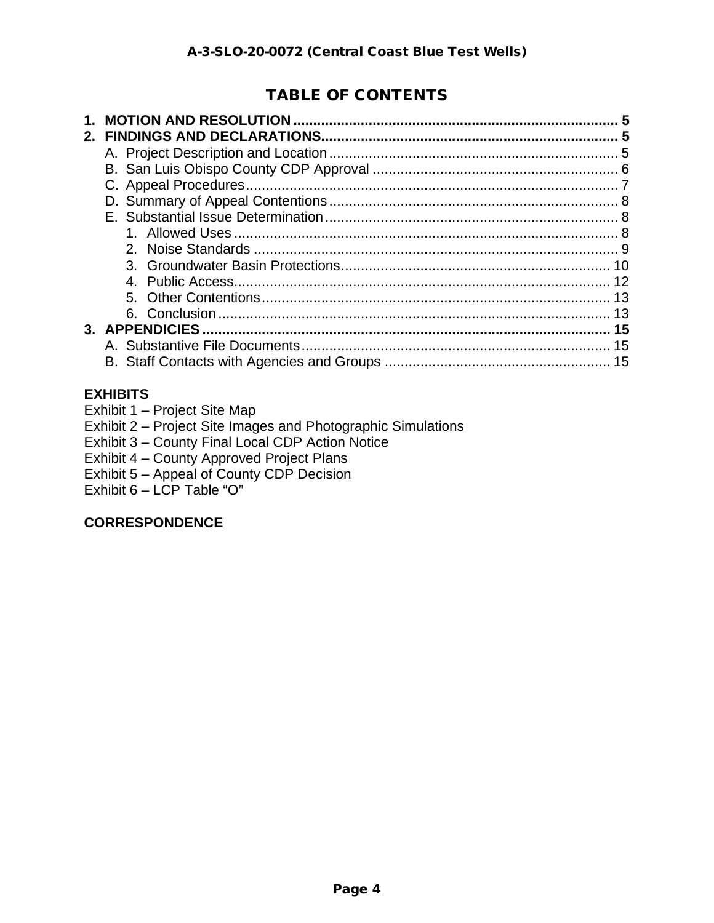# TABLE OF CONTENTS

| $\mathbf 1$ | 5 |
|-------------|---|
| $2_{-}$     |   |
|             |   |
|             |   |
|             |   |
|             |   |
|             |   |
|             |   |
|             |   |
|             |   |
|             |   |
|             |   |
|             |   |
|             |   |
|             |   |
|             |   |

#### **EXHIBITS**

- Exhibit 1 Project Site Map
- Exhibit 2 Project Site Images and Photographic Simulations
- Exhibit 3 County Final Local CDP Action Notice
- Exhibit 4 County Approved Project Plans
- Exhibit 5 Appeal of County CDP Decision
- Exhibit  $6 \text{LCP}$  Table "O"

#### **CORRESPONDENCE**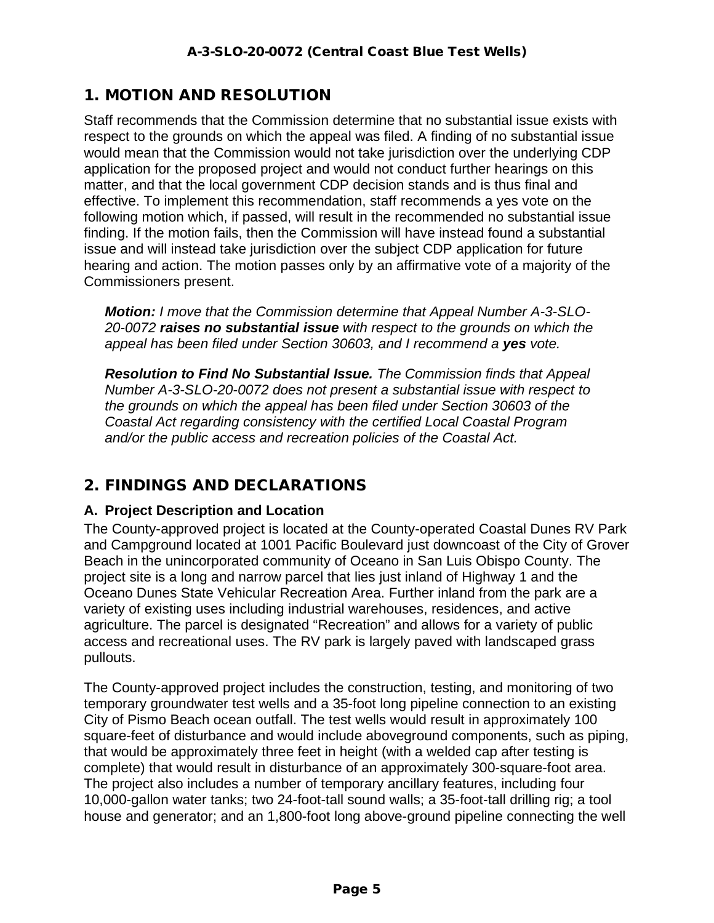# 1. MOTION AND RESOLUTION

Staff recommends that the Commission determine that no substantial issue exists with respect to the grounds on which the appeal was filed. A finding of no substantial issue would mean that the Commission would not take jurisdiction over the underlying CDP application for the proposed project and would not conduct further hearings on this matter, and that the local government CDP decision stands and is thus final and effective. To implement this recommendation, staff recommends a yes vote on the following motion which, if passed, will result in the recommended no substantial issue finding. If the motion fails, then the Commission will have instead found a substantial issue and will instead take jurisdiction over the subject CDP application for future hearing and action. The motion passes only by an affirmative vote of a majority of the Commissioners present.

*Motion: I move that the Commission determine that Appeal Number A-3-SLO-20-0072 raises no substantial issue with respect to the grounds on which the appeal has been filed under Section 30603, and I recommend a yes vote.*

*Resolution to Find No Substantial Issue. The Commission finds that Appeal Number A-3-SLO-20-0072 does not present a substantial issue with respect to the grounds on which the appeal has been filed under Section 30603 of the Coastal Act regarding consistency with the certified Local Coastal Program and/or the public access and recreation policies of the Coastal Act.*

# 2. FINDINGS AND DECLARATIONS

#### **A. Project Description and Location**

The County-approved project is located at the County-operated Coastal Dunes RV Park and Campground located at 1001 Pacific Boulevard just downcoast of the City of Grover Beach in the unincorporated community of Oceano in San Luis Obispo County. The project site is a long and narrow parcel that lies just inland of Highway 1 and the Oceano Dunes State Vehicular Recreation Area. Further inland from the park are a variety of existing uses including industrial warehouses, residences, and active agriculture. The parcel is designated "Recreation" and allows for a variety of public access and recreational uses. The RV park is largely paved with landscaped grass pullouts.

The County-approved project includes the construction, testing, and monitoring of two temporary groundwater test wells and a 35-foot long pipeline connection to an existing City of Pismo Beach ocean outfall. The test wells would result in approximately 100 square-feet of disturbance and would include aboveground components, such as piping, that would be approximately three feet in height (with a welded cap after testing is complete) that would result in disturbance of an approximately 300-square-foot area. The project also includes a number of temporary ancillary features, including four 10,000-gallon water tanks; two 24-foot-tall sound walls; a 35-foot-tall drilling rig; a tool house and generator; and an 1,800-foot long above-ground pipeline connecting the well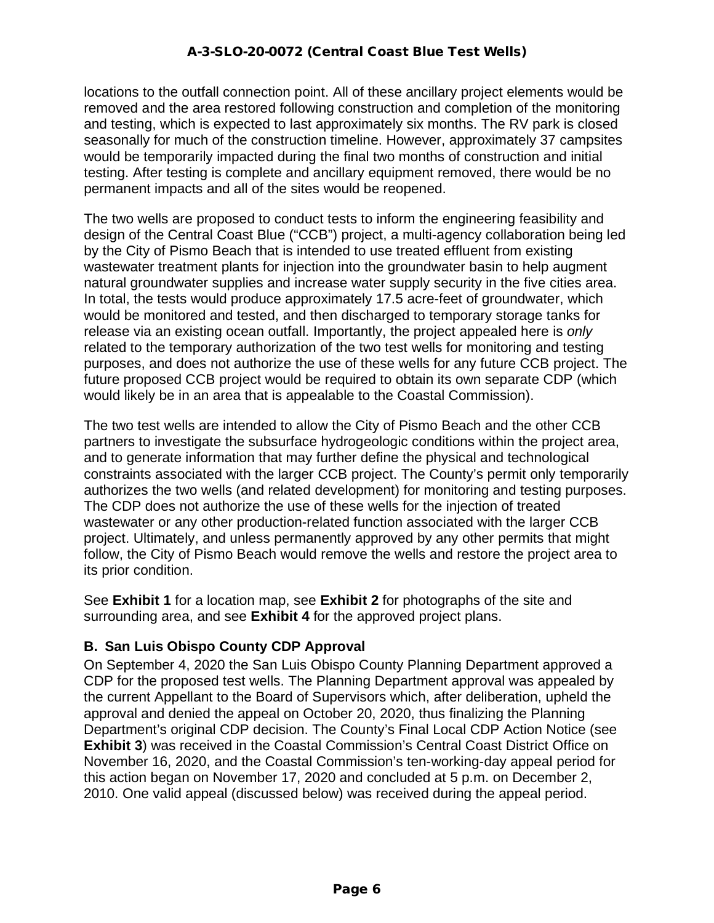locations to the outfall connection point. All of these ancillary project elements would be removed and the area restored following construction and completion of the monitoring and testing, which is expected to last approximately six months. The RV park is closed seasonally for much of the construction timeline. However, approximately 37 campsites would be temporarily impacted during the final two months of construction and initial testing. After testing is complete and ancillary equipment removed, there would be no permanent impacts and all of the sites would be reopened.

The two wells are proposed to conduct tests to inform the engineering feasibility and design of the Central Coast Blue ("CCB") project, a multi-agency collaboration being led by the City of Pismo Beach that is intended to use treated effluent from existing wastewater treatment plants for injection into the groundwater basin to help augment natural groundwater supplies and increase water supply security in the five cities area. In total, the tests would produce approximately 17.5 acre-feet of groundwater, which would be monitored and tested, and then discharged to temporary storage tanks for release via an existing ocean outfall. Importantly, the project appealed here is *only* related to the temporary authorization of the two test wells for monitoring and testing purposes, and does not authorize the use of these wells for any future CCB project. The future proposed CCB project would be required to obtain its own separate CDP (which would likely be in an area that is appealable to the Coastal Commission).

The two test wells are intended to allow the City of Pismo Beach and the other CCB partners to investigate the subsurface hydrogeologic conditions within the project area, and to generate information that may further define the physical and technological constraints associated with the larger CCB project. The County's permit only temporarily authorizes the two wells (and related development) for monitoring and testing purposes. The CDP does not authorize the use of these wells for the injection of treated wastewater or any other production-related function associated with the larger CCB project. Ultimately, and unless permanently approved by any other permits that might follow, the City of Pismo Beach would remove the wells and restore the project area to its prior condition.

See **Exhibit 1** for a location map, see **Exhibit 2** for photographs of the site and surrounding area, and see **Exhibit 4** for the approved project plans.

#### **B. San Luis Obispo County CDP Approval**

On September 4, 2020 the San Luis Obispo County Planning Department approved a CDP for the proposed test wells. The Planning Department approval was appealed by the current Appellant to the Board of Supervisors which, after deliberation, upheld the approval and denied the appeal on October 20, 2020, thus finalizing the Planning Department's original CDP decision. The County's Final Local CDP Action Notice (see **Exhibit 3**) was received in the Coastal Commission's Central Coast District Office on November 16, 2020, and the Coastal Commission's ten-working-day appeal period for this action began on November 17, 2020 and concluded at 5 p.m. on December 2, 2010. One valid appeal (discussed below) was received during the appeal period.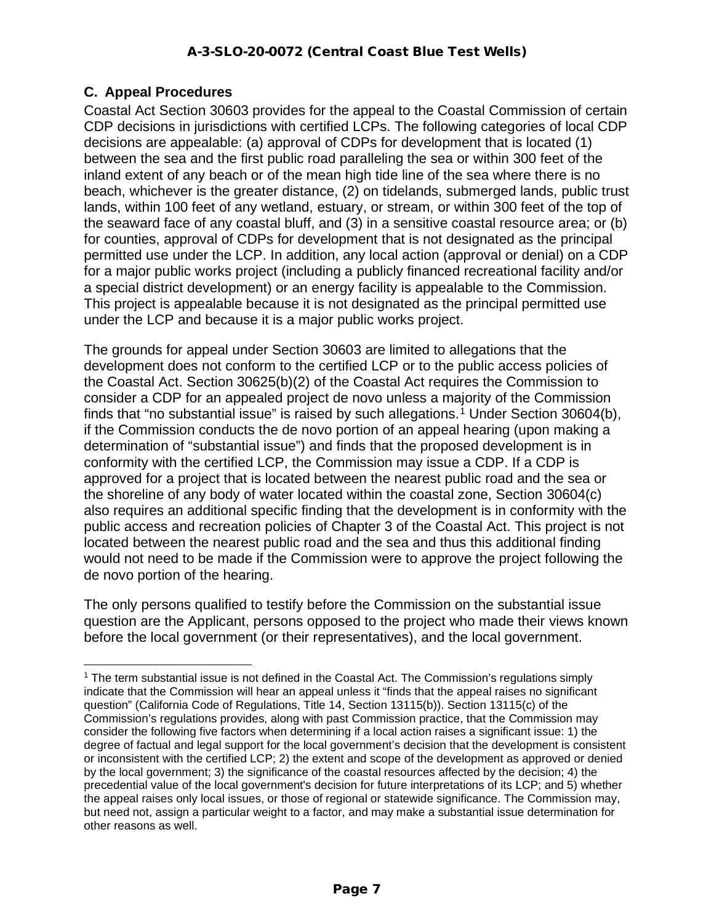## **C. Appeal Procedures**

Coastal Act Section 30603 provides for the appeal to the Coastal Commission of certain CDP decisions in jurisdictions with certified LCPs. The following categories of local CDP decisions are appealable: (a) approval of CDPs for development that is located (1) between the sea and the first public road paralleling the sea or within 300 feet of the inland extent of any beach or of the mean high tide line of the sea where there is no beach, whichever is the greater distance, (2) on tidelands, submerged lands, public trust lands, within 100 feet of any wetland, estuary, or stream, or within 300 feet of the top of the seaward face of any coastal bluff, and (3) in a sensitive coastal resource area; or (b) for counties, approval of CDPs for development that is not designated as the principal permitted use under the LCP. In addition, any local action (approval or denial) on a CDP for a major public works project (including a publicly financed recreational facility and/or a special district development) or an energy facility is appealable to the Commission. This project is appealable because it is not designated as the principal permitted use under the LCP and because it is a major public works project.

The grounds for appeal under Section 30603 are limited to allegations that the development does not conform to the certified LCP or to the public access policies of the Coastal Act. Section 30625(b)(2) of the Coastal Act requires the Commission to consider a CDP for an appealed project de novo unless a majority of the Commission finds that "no substantial issue" is raised by such allegations.<sup>[1](#page-6-0)</sup> Under Section 30604(b), if the Commission conducts the de novo portion of an appeal hearing (upon making a determination of "substantial issue") and finds that the proposed development is in conformity with the certified LCP, the Commission may issue a CDP. If a CDP is approved for a project that is located between the nearest public road and the sea or the shoreline of any body of water located within the coastal zone, Section 30604(c) also requires an additional specific finding that the development is in conformity with the public access and recreation policies of Chapter 3 of the Coastal Act. This project is not located between the nearest public road and the sea and thus this additional finding would not need to be made if the Commission were to approve the project following the de novo portion of the hearing.

The only persons qualified to testify before the Commission on the substantial issue question are the Applicant, persons opposed to the project who made their views known before the local government (or their representatives), and the local government.

<span id="page-6-0"></span> $<sup>1</sup>$  The term substantial issue is not defined in the Coastal Act. The Commission's regulations simply</sup> indicate that the Commission will hear an appeal unless it "finds that the appeal raises no significant question" (California Code of Regulations, Title 14, Section 13115(b)). Section 13115(c) of the Commission's regulations provides, along with past Commission practice, that the Commission may consider the following five factors when determining if a local action raises a significant issue: 1) the degree of factual and legal support for the local government's decision that the development is consistent or inconsistent with the certified LCP; 2) the extent and scope of the development as approved or denied by the local government; 3) the significance of the coastal resources affected by the decision; 4) the precedential value of the local government's decision for future interpretations of its LCP; and 5) whether the appeal raises only local issues, or those of regional or statewide significance. The Commission may, but need not, assign a particular weight to a factor, and may make a substantial issue determination for other reasons as well.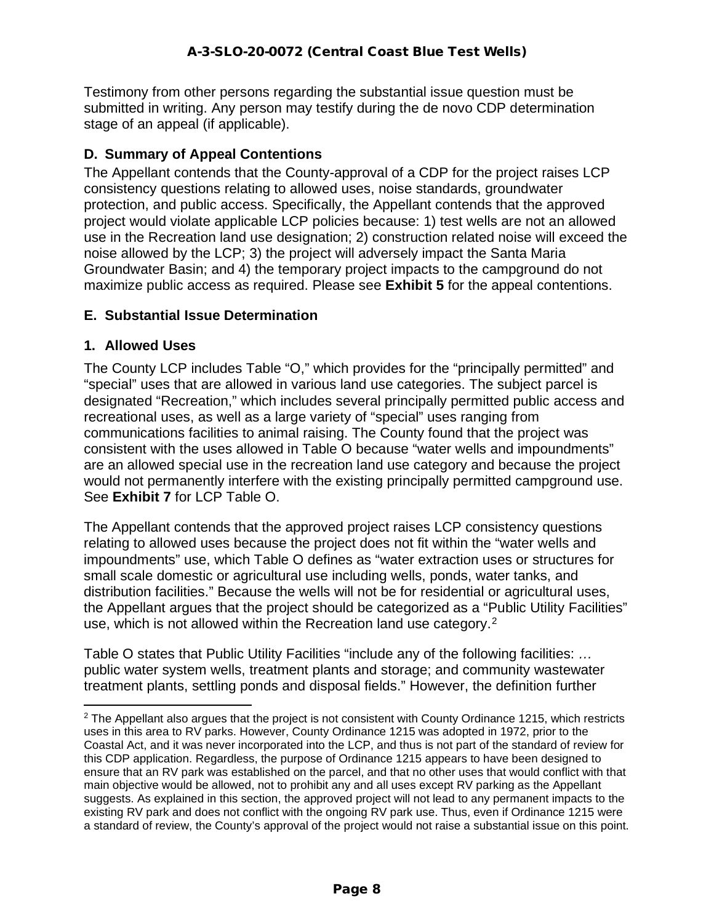Testimony from other persons regarding the substantial issue question must be submitted in writing. Any person may testify during the de novo CDP determination stage of an appeal (if applicable).

## **D. Summary of Appeal Contentions**

The Appellant contends that the County-approval of a CDP for the project raises LCP consistency questions relating to allowed uses, noise standards, groundwater protection, and public access. Specifically, the Appellant contends that the approved project would violate applicable LCP policies because: 1) test wells are not an allowed use in the Recreation land use designation; 2) construction related noise will exceed the noise allowed by the LCP; 3) the project will adversely impact the Santa Maria Groundwater Basin; and 4) the temporary project impacts to the campground do not maximize public access as required. Please see **Exhibit 5** for the appeal contentions.

#### **E. Substantial Issue Determination**

#### **1. Allowed Uses**

The County LCP includes Table "O," which provides for the "principally permitted" and "special" uses that are allowed in various land use categories. The subject parcel is designated "Recreation," which includes several principally permitted public access and recreational uses, as well as a large variety of "special" uses ranging from communications facilities to animal raising. The County found that the project was consistent with the uses allowed in Table O because "water wells and impoundments" are an allowed special use in the recreation land use category and because the project would not permanently interfere with the existing principally permitted campground use. See **Exhibit 7** for LCP Table O.

The Appellant contends that the approved project raises LCP consistency questions relating to allowed uses because the project does not fit within the "water wells and impoundments" use, which Table O defines as "water extraction uses or structures for small scale domestic or agricultural use including wells, ponds, water tanks, and distribution facilities." Because the wells will not be for residential or agricultural uses, the Appellant argues that the project should be categorized as a "Public Utility Facilities" use, which is not allowed within the Recreation land use category.<sup>[2](#page-7-0)</sup>

Table O states that Public Utility Facilities "include any of the following facilities: *…*  public water system wells, treatment plants and storage; and community wastewater treatment plants, settling ponds and disposal fields." However, the definition further

<span id="page-7-0"></span> $2$  The Appellant also argues that the project is not consistent with County Ordinance 1215, which restricts uses in this area to RV parks. However, County Ordinance 1215 was adopted in 1972, prior to the Coastal Act, and it was never incorporated into the LCP, and thus is not part of the standard of review for this CDP application. Regardless, the purpose of Ordinance 1215 appears to have been designed to ensure that an RV park was established on the parcel, and that no other uses that would conflict with that main objective would be allowed, not to prohibit any and all uses except RV parking as the Appellant suggests. As explained in this section, the approved project will not lead to any permanent impacts to the existing RV park and does not conflict with the ongoing RV park use. Thus, even if Ordinance 1215 were a standard of review, the County's approval of the project would not raise a substantial issue on this point.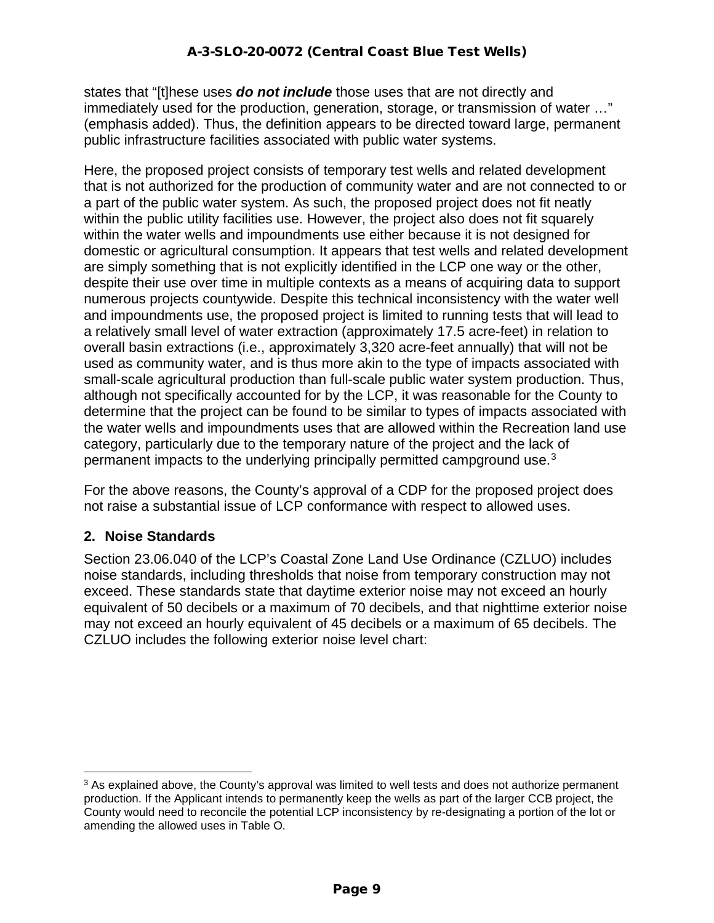states that "[t]hese uses *do not include* those uses that are not directly and immediately used for the production, generation, storage, or transmission of water …" (emphasis added). Thus, the definition appears to be directed toward large, permanent public infrastructure facilities associated with public water systems.

Here, the proposed project consists of temporary test wells and related development that is not authorized for the production of community water and are not connected to or a part of the public water system. As such, the proposed project does not fit neatly within the public utility facilities use. However, the project also does not fit squarely within the water wells and impoundments use either because it is not designed for domestic or agricultural consumption. It appears that test wells and related development are simply something that is not explicitly identified in the LCP one way or the other, despite their use over time in multiple contexts as a means of acquiring data to support numerous projects countywide. Despite this technical inconsistency with the water well and impoundments use, the proposed project is limited to running tests that will lead to a relatively small level of water extraction (approximately 17.5 acre-feet) in relation to overall basin extractions (i.e., approximately 3,320 acre-feet annually) that will not be used as community water, and is thus more akin to the type of impacts associated with small-scale agricultural production than full-scale public water system production. Thus, although not specifically accounted for by the LCP, it was reasonable for the County to determine that the project can be found to be similar to types of impacts associated with the water wells and impoundments uses that are allowed within the Recreation land use category, particularly due to the temporary nature of the project and the lack of permanent impacts to the underlying principally permitted campground use.[3](#page-8-0)

For the above reasons, the County's approval of a CDP for the proposed project does not raise a substantial issue of LCP conformance with respect to allowed uses.

#### **2. Noise Standards**

Section 23.06.040 of the LCP's Coastal Zone Land Use Ordinance (CZLUO) includes noise standards, including thresholds that noise from temporary construction may not exceed. These standards state that daytime exterior noise may not exceed an hourly equivalent of 50 decibels or a maximum of 70 decibels, and that nighttime exterior noise may not exceed an hourly equivalent of 45 decibels or a maximum of 65 decibels. The CZLUO includes the following exterior noise level chart:

<span id="page-8-0"></span> $3$  As explained above, the County's approval was limited to well tests and does not authorize permanent production. If the Applicant intends to permanently keep the wells as part of the larger CCB project, the County would need to reconcile the potential LCP inconsistency by re-designating a portion of the lot or amending the allowed uses in Table O.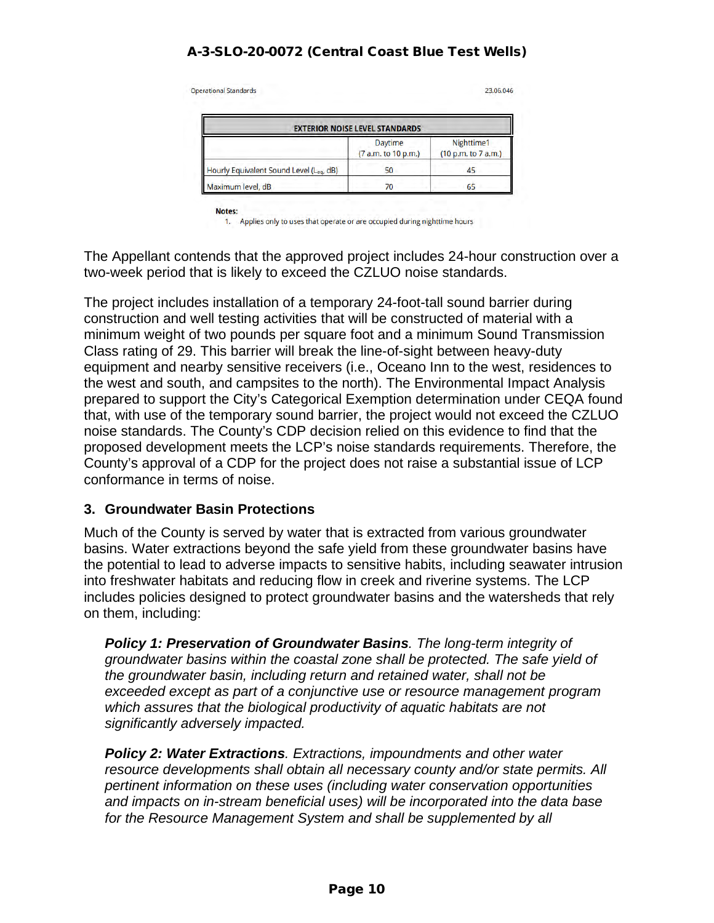| <b>EXTERIOR NOISE LEVEL STANDARDS</b>   |                                |                                   |  |  |  |
|-----------------------------------------|--------------------------------|-----------------------------------|--|--|--|
|                                         | Daytime<br>(7 a.m. to 10 p.m.) | Nighttime1<br>(10 p.m. to 7 a.m.) |  |  |  |
| Hourly Equivalent Sound Level (Leg, dB) | 50                             | 45                                |  |  |  |

Notes:

1. Applies only to uses that operate or are occupied during nighttime hours

The Appellant contends that the approved project includes 24-hour construction over a two-week period that is likely to exceed the CZLUO noise standards.

The project includes installation of a temporary 24-foot-tall sound barrier during construction and well testing activities that will be constructed of material with a minimum weight of two pounds per square foot and a minimum Sound Transmission Class rating of 29. This barrier will break the line-of-sight between heavy-duty equipment and nearby sensitive receivers (i.e., Oceano Inn to the west, residences to the west and south, and campsites to the north). The Environmental Impact Analysis prepared to support the City's Categorical Exemption determination under CEQA found that, with use of the temporary sound barrier, the project would not exceed the CZLUO noise standards. The County's CDP decision relied on this evidence to find that the proposed development meets the LCP's noise standards requirements. Therefore, the County's approval of a CDP for the project does not raise a substantial issue of LCP conformance in terms of noise.

#### **3. Groundwater Basin Protections**

Much of the County is served by water that is extracted from various groundwater basins. Water extractions beyond the safe yield from these groundwater basins have the potential to lead to adverse impacts to sensitive habits, including seawater intrusion into freshwater habitats and reducing flow in creek and riverine systems. The LCP includes policies designed to protect groundwater basins and the watersheds that rely on them, including:

*Policy 1: Preservation of Groundwater Basins. The long-term integrity of groundwater basins within the coastal zone shall be protected. The safe yield of the groundwater basin, including return and retained water, shall not be exceeded except as part of a conjunctive use or resource management program which assures that the biological productivity of aquatic habitats are not significantly adversely impacted.* 

*Policy 2: Water Extractions. Extractions, impoundments and other water resource developments shall obtain all necessary county and/or state permits. All pertinent information on these uses (including water conservation opportunities and impacts on in-stream beneficial uses) will be incorporated into the data base for the Resource Management System and shall be supplemented by all*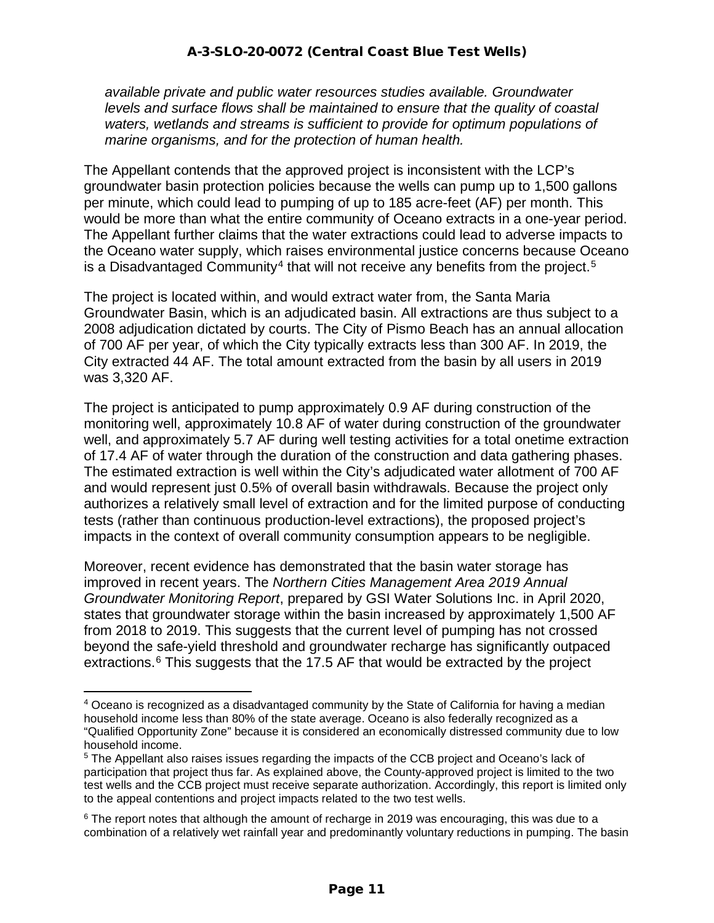*available private and public water resources studies available. Groundwater levels and surface flows shall be maintained to ensure that the quality of coastal waters, wetlands and streams is sufficient to provide for optimum populations of marine organisms, and for the protection of human health.*

The Appellant contends that the approved project is inconsistent with the LCP's groundwater basin protection policies because the wells can pump up to 1,500 gallons per minute, which could lead to pumping of up to 185 acre-feet (AF) per month. This would be more than what the entire community of Oceano extracts in a one-year period. The Appellant further claims that the water extractions could lead to adverse impacts to the Oceano water supply, which raises environmental justice concerns because Oceano is a Disadvantaged Community<sup>[4](#page-10-0)</sup> that will not receive any benefits from the project.<sup>[5](#page-10-1)</sup>

The project is located within, and would extract water from, the Santa Maria Groundwater Basin, which is an adjudicated basin. All extractions are thus subject to a 2008 adjudication dictated by courts. The City of Pismo Beach has an annual allocation of 700 AF per year, of which the City typically extracts less than 300 AF. In 2019, the City extracted 44 AF. The total amount extracted from the basin by all users in 2019 was 3,320 AF.

The project is anticipated to pump approximately 0.9 AF during construction of the monitoring well, approximately 10.8 AF of water during construction of the groundwater well, and approximately 5.7 AF during well testing activities for a total onetime extraction of 17.4 AF of water through the duration of the construction and data gathering phases. The estimated extraction is well within the City's adjudicated water allotment of 700 AF and would represent just 0.5% of overall basin withdrawals. Because the project only authorizes a relatively small level of extraction and for the limited purpose of conducting tests (rather than continuous production-level extractions), the proposed project's impacts in the context of overall community consumption appears to be negligible.

Moreover, recent evidence has demonstrated that the basin water storage has improved in recent years. The *Northern Cities Management Area 2019 Annual Groundwater Monitoring Report*, prepared by GSI Water Solutions Inc. in April 2020, states that groundwater storage within the basin increased by approximately 1,500 AF from 2018 to 2019. This suggests that the current level of pumping has not crossed beyond the safe-yield threshold and groundwater recharge has significantly outpaced extractions.<sup>[6](#page-10-2)</sup> This suggests that the 17.5 AF that would be extracted by the project

<span id="page-10-0"></span><sup>4</sup> Oceano is recognized as a disadvantaged community by the State of California for having a median household income less than 80% of the state average. Oceano is also federally recognized as a "Qualified Opportunity Zone" because it is considered an economically distressed community due to low household income.

<span id="page-10-1"></span><sup>&</sup>lt;sup>5</sup> The Appellant also raises issues regarding the impacts of the CCB project and Oceano's lack of participation that project thus far. As explained above, the County-approved project is limited to the two test wells and the CCB project must receive separate authorization. Accordingly, this report is limited only to the appeal contentions and project impacts related to the two test wells.

<span id="page-10-2"></span> $6$  The report notes that although the amount of recharge in 2019 was encouraging, this was due to a combination of a relatively wet rainfall year and predominantly voluntary reductions in pumping. The basin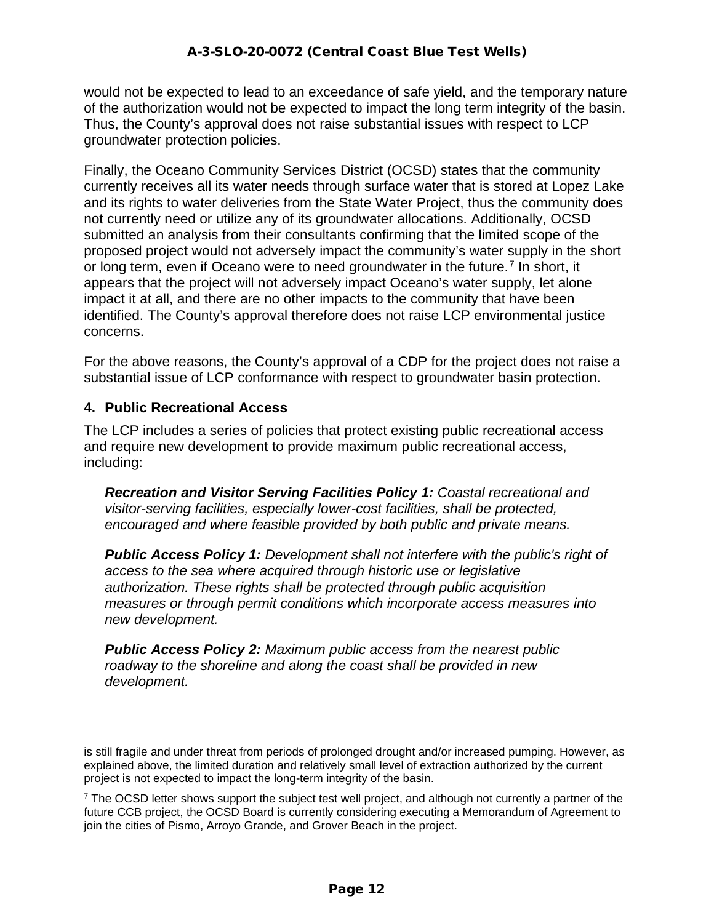would not be expected to lead to an exceedance of safe yield, and the temporary nature of the authorization would not be expected to impact the long term integrity of the basin. Thus, the County's approval does not raise substantial issues with respect to LCP groundwater protection policies.

Finally, the Oceano Community Services District (OCSD) states that the community currently receives all its water needs through surface water that is stored at Lopez Lake and its rights to water deliveries from the State Water Project, thus the community does not currently need or utilize any of its groundwater allocations. Additionally, OCSD submitted an analysis from their consultants confirming that the limited scope of the proposed project would not adversely impact the community's water supply in the short or long term, even if Oceano were to need groundwater in the future.<sup>[7](#page-11-0)</sup> In short, it appears that the project will not adversely impact Oceano's water supply, let alone impact it at all, and there are no other impacts to the community that have been identified. The County's approval therefore does not raise LCP environmental justice concerns.

For the above reasons, the County's approval of a CDP for the project does not raise a substantial issue of LCP conformance with respect to groundwater basin protection.

#### **4. Public Recreational Access**

The LCP includes a series of policies that protect existing public recreational access and require new development to provide maximum public recreational access, including:

*Recreation and Visitor Serving Facilities Policy 1: Coastal recreational and visitor-serving facilities, especially lower-cost facilities, shall be protected, encouraged and where feasible provided by both public and private means.*

*Public Access Policy 1: Development shall not interfere with the public's right of access to the sea where acquired through historic use or legislative authorization. These rights shall be protected through public acquisition measures or through permit conditions which incorporate access measures into new development.*

*Public Access Policy 2: Maximum public access from the nearest public roadway to the shoreline and along the coast shall be provided in new development.*

is still fragile and under threat from periods of prolonged drought and/or increased pumping. However, as explained above, the limited duration and relatively small level of extraction authorized by the current project is not expected to impact the long-term integrity of the basin.

<span id="page-11-0"></span> $<sup>7</sup>$  The OCSD letter shows support the subject test well project, and although not currently a partner of the</sup> future CCB project, the OCSD Board is currently considering executing a Memorandum of Agreement to join the cities of Pismo, Arroyo Grande, and Grover Beach in the project.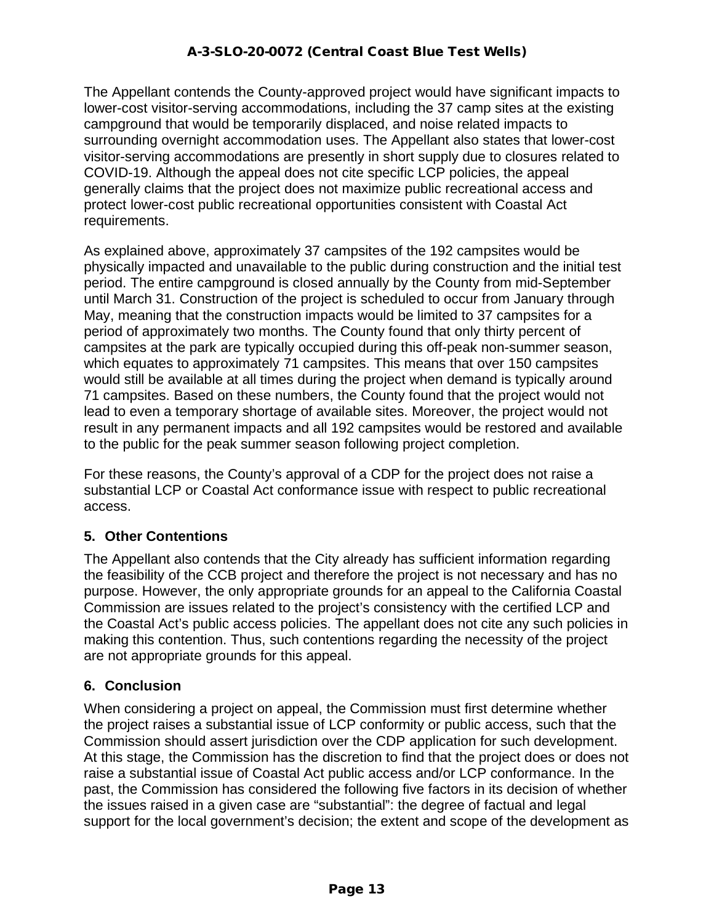The Appellant contends the County-approved project would have significant impacts to lower-cost visitor-serving accommodations, including the 37 camp sites at the existing campground that would be temporarily displaced, and noise related impacts to surrounding overnight accommodation uses. The Appellant also states that lower-cost visitor-serving accommodations are presently in short supply due to closures related to COVID-19. Although the appeal does not cite specific LCP policies, the appeal generally claims that the project does not maximize public recreational access and protect lower-cost public recreational opportunities consistent with Coastal Act requirements.

As explained above, approximately 37 campsites of the 192 campsites would be physically impacted and unavailable to the public during construction and the initial test period. The entire campground is closed annually by the County from mid-September until March 31. Construction of the project is scheduled to occur from January through May, meaning that the construction impacts would be limited to 37 campsites for a period of approximately two months. The County found that only thirty percent of campsites at the park are typically occupied during this off-peak non-summer season, which equates to approximately 71 campsites. This means that over 150 campsites would still be available at all times during the project when demand is typically around 71 campsites. Based on these numbers, the County found that the project would not lead to even a temporary shortage of available sites. Moreover, the project would not result in any permanent impacts and all 192 campsites would be restored and available to the public for the peak summer season following project completion.

For these reasons, the County's approval of a CDP for the project does not raise a substantial LCP or Coastal Act conformance issue with respect to public recreational access.

# **5. Other Contentions**

The Appellant also contends that the City already has sufficient information regarding the feasibility of the CCB project and therefore the project is not necessary and has no purpose. However, the only appropriate grounds for an appeal to the California Coastal Commission are issues related to the project's consistency with the certified LCP and the Coastal Act's public access policies. The appellant does not cite any such policies in making this contention. Thus, such contentions regarding the necessity of the project are not appropriate grounds for this appeal.

#### **6. Conclusion**

When considering a project on appeal, the Commission must first determine whether the project raises a substantial issue of LCP conformity or public access, such that the Commission should assert jurisdiction over the CDP application for such development. At this stage, the Commission has the discretion to find that the project does or does not raise a substantial issue of Coastal Act public access and/or LCP conformance. In the past, the Commission has considered the following five factors in its decision of whether the issues raised in a given case are "substantial": the degree of factual and legal support for the local government's decision; the extent and scope of the development as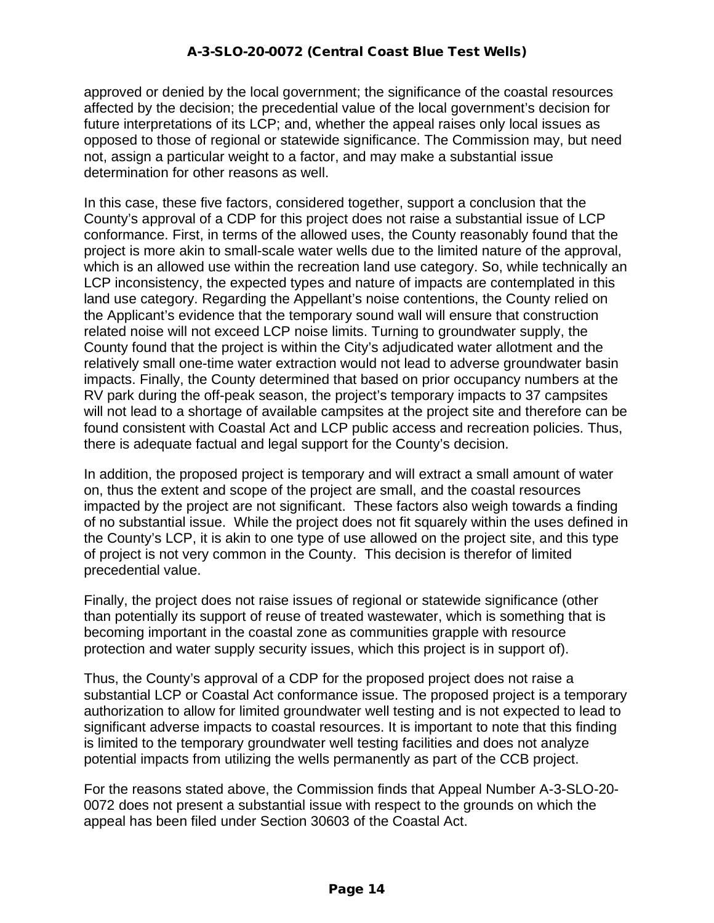approved or denied by the local government; the significance of the coastal resources affected by the decision; the precedential value of the local government's decision for future interpretations of its LCP; and, whether the appeal raises only local issues as opposed to those of regional or statewide significance. The Commission may, but need not, assign a particular weight to a factor, and may make a substantial issue determination for other reasons as well.

In this case, these five factors, considered together, support a conclusion that the County's approval of a CDP for this project does not raise a substantial issue of LCP conformance. First, in terms of the allowed uses, the County reasonably found that the project is more akin to small-scale water wells due to the limited nature of the approval, which is an allowed use within the recreation land use category. So, while technically an LCP inconsistency, the expected types and nature of impacts are contemplated in this land use category. Regarding the Appellant's noise contentions, the County relied on the Applicant's evidence that the temporary sound wall will ensure that construction related noise will not exceed LCP noise limits. Turning to groundwater supply, the County found that the project is within the City's adjudicated water allotment and the relatively small one-time water extraction would not lead to adverse groundwater basin impacts. Finally, the County determined that based on prior occupancy numbers at the RV park during the off-peak season, the project's temporary impacts to 37 campsites will not lead to a shortage of available campsites at the project site and therefore can be found consistent with Coastal Act and LCP public access and recreation policies. Thus, there is adequate factual and legal support for the County's decision.

In addition, the proposed project is temporary and will extract a small amount of water on, thus the extent and scope of the project are small, and the coastal resources impacted by the project are not significant. These factors also weigh towards a finding of no substantial issue. While the project does not fit squarely within the uses defined in the County's LCP, it is akin to one type of use allowed on the project site, and this type of project is not very common in the County. This decision is therefor of limited precedential value.

Finally, the project does not raise issues of regional or statewide significance (other than potentially its support of reuse of treated wastewater, which is something that is becoming important in the coastal zone as communities grapple with resource protection and water supply security issues, which this project is in support of).

Thus, the County's approval of a CDP for the proposed project does not raise a substantial LCP or Coastal Act conformance issue. The proposed project is a temporary authorization to allow for limited groundwater well testing and is not expected to lead to significant adverse impacts to coastal resources. It is important to note that this finding is limited to the temporary groundwater well testing facilities and does not analyze potential impacts from utilizing the wells permanently as part of the CCB project.

For the reasons stated above, the Commission finds that Appeal Number A-3-SLO-20- 0072 does not present a substantial issue with respect to the grounds on which the appeal has been filed under Section 30603 of the Coastal Act.